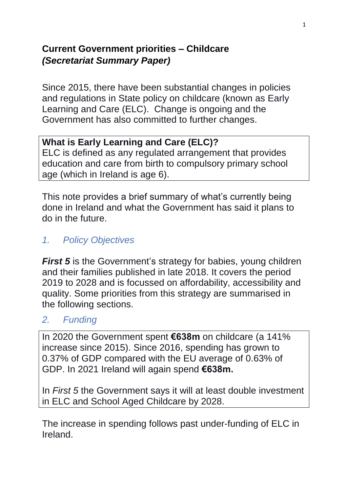### **Current Government priorities – Childcare** *(Secretariat Summary Paper)*

Since 2015, there have been substantial changes in policies and regulations in State policy on childcare (known as Early Learning and Care (ELC). Change is ongoing and the Government has also committed to further changes.

### **What is Early Learning and Care (ELC)?**

ELC is defined as any regulated arrangement that provides education and care from birth to compulsory primary school age (which in Ireland is age 6).

This note provides a brief summary of what's currently being done in Ireland and what the Government has said it plans to do in the future.

### *1. Policy Objectives*

*First 5* is the Government's strategy for babies, young children and their families published in late 2018. It covers the period 2019 to 2028 and is focussed on affordability, accessibility and quality. Some priorities from this strategy are summarised in the following sections.

### *2. Funding*

In 2020 the Government spent **€638m** on childcare (a 141% increase since 2015). Since 2016, spending has grown to 0.37% of GDP compared with the EU average of 0.63% of GDP. In 2021 Ireland will again spend **€638m.**

In *First 5* the Government says it will at least double investment in ELC and School Aged Childcare by 2028.

The increase in spending follows past under-funding of ELC in Ireland.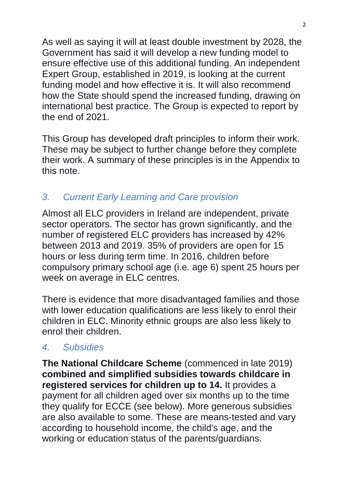As well as saying it will at least double investment by 2028, the Government has said it will develop a new funding model to ensure effective use of this additional funding. An independent Expert Group, established in 2019, is looking at the current funding model and how effective it is. It will also recommend how the State should spend the increased funding, drawing on international best practice. The Group is expected to report by the end of 2021.

This Group has developed draft principles to inform their work. These may be subject to further change before they complete their work. A summary of these principles is in the Appendix to this note.

# *3. Current Early Learning and Care provision*

Almost all ELC providers in Ireland are independent, private sector operators. The sector has grown significantly, and the number of registered ELC providers has increased by 42% between 2013 and 2019. 35% of providers are open for 15 hours or less during term time. In 2016, children before compulsory primary school age (i.e. age 6) spent 25 hours per week on average in ELC centres.

There is evidence that more disadvantaged families and those with lower education qualifications are less likely to enrol their children in ELC. Minority ethnic groups are also less likely to enrol their children.

### *4. Subsidies*

**The National Childcare Scheme** (commenced in late 2019) **combined and simplified subsidies towards childcare in registered services for children up to 14.** It provides a payment for all children aged over six months up to the time they qualify for ECCE (see below). More generous subsidies are also available to some. These are means-tested and vary according to household income, the child's age, and the working or education status of the parents/guardians.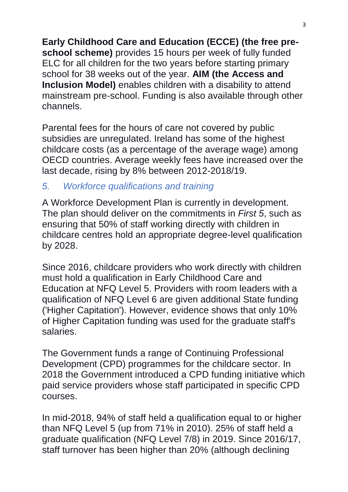**Early Childhood Care and Education (ECCE) (the free preschool scheme)** provides 15 hours per week of fully funded ELC for all children for the two years before starting primary school for 38 weeks out of the year. **AIM (the Access and Inclusion Model)** enables children with a disability to attend mainstream pre-school. Funding is also available through other channels.

Parental fees for the hours of care not covered by public subsidies are unregulated. Ireland has some of the highest childcare costs (as a percentage of the average wage) among OECD countries. Average weekly fees have increased over the last decade, rising by 8% between 2012-2018/19.

### *5. Workforce qualifications and training*

A Workforce Development Plan is currently in development. The plan should deliver on the commitments in *First 5*, such as ensuring that 50% of staff working directly with children in childcare centres hold an appropriate degree-level qualification by 2028.

Since 2016, childcare providers who work directly with children must hold a qualification in Early Childhood Care and Education at NFQ Level 5. Providers with room leaders with a qualification of NFQ Level 6 are given additional State funding ('Higher Capitation'). However, evidence shows that only 10% of Higher Capitation funding was used for the graduate staff's salaries.

The Government funds a range of Continuing Professional Development (CPD) programmes for the childcare sector. In 2018 the Government introduced a CPD funding initiative which paid service providers whose staff participated in specific CPD courses.

In mid-2018, 94% of staff held a qualification equal to or higher than NFQ Level 5 (up from 71% in 2010). 25% of staff held a graduate qualification (NFQ Level 7/8) in 2019. Since 2016/17, staff turnover has been higher than 20% (although declining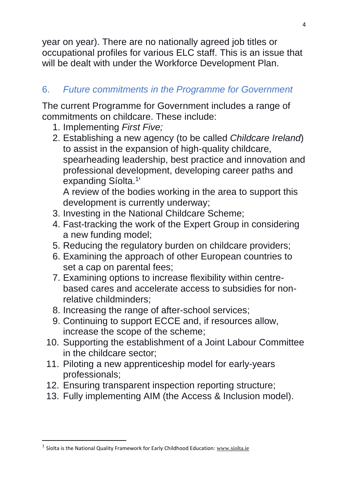year on year). There are no nationally agreed job titles or occupational profiles for various ELC staff. This is an issue that will be dealt with under the Workforce Development Plan.

## 6. *Future commitments in the Programme for Government*

The current Programme for Government includes a range of commitments on childcare. These include:

- 1. Implementing *First Five;*
- 2. Establishing a new agency (to be called *Childcare Ireland*) to assist in the expansion of high-quality childcare, spearheading leadership, best practice and innovation and professional development, developing career paths and expanding Síolta.<sup>1</sup>'

A review of the bodies working in the area to support this development is currently underway;

- 3. Investing in the National Childcare Scheme;
- 4. Fast-tracking the work of the Expert Group in considering a new funding model;
- 5. Reducing the regulatory burden on childcare providers;
- 6. Examining the approach of other European countries to set a cap on parental fees;
- 7. Examining options to increase flexibility within centrebased cares and accelerate access to subsidies for nonrelative childminders;
- 8. Increasing the range of after-school services;
- 9. Continuing to support ECCE and, if resources allow, increase the scope of the scheme;
- 10. Supporting the establishment of a Joint Labour Committee in the childcare sector;
- 11. Piloting a new apprenticeship model for early-years professionals;
- 12. Ensuring transparent inspection reporting structure;
- 13. Fully implementing AIM (the Access & Inclusion model).

4

**.** 

 $<sup>1</sup>$  Síolta is the National Quality Framework for Early Childhood Education:  $\frac{www.siolta.ie}{m}$  $\frac{www.siolta.ie}{m}$  $\frac{www.siolta.ie}{m}$ </sup>